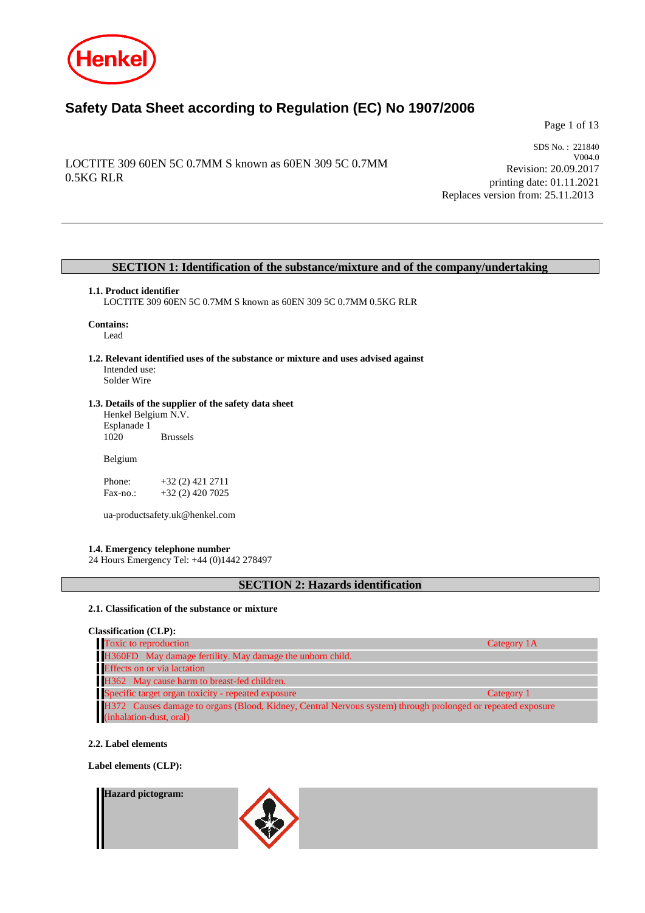

# **Safety Data Sheet according to Regulation (EC) No 1907/2006**

Page 1 of 13

# LOCTITE 309 60EN 5C 0.7MM S known as 60EN 309 5C 0.7MM 0.5KG RLR

SDS No. : 221840 V004.0 Revision: 20.09.2017 printing date: 01.11.2021 Replaces version from: 25.11.2013

## **SECTION 1: Identification of the substance/mixture and of the company/undertaking**

## **1.1. Product identifier**

LOCTITE 309 60EN 5C 0.7MM S known as 60EN 309 5C 0.7MM 0.5KG RLR

# **Contains:**

Lead

**1.2. Relevant identified uses of the substance or mixture and uses advised against** Intended use: Solder Wire

## **1.3. Details of the supplier of the safety data sheet**

Henkel Belgium N.V. Esplanade 1 **Brussels** 

Belgium

Phone: +32 (2) 421 2711<br>Fax-no.: +32 (2) 420 7025 +32 (2) 420 7025

ua-productsafety.uk@henkel.com

## **1.4. Emergency telephone number**

24 Hours Emergency Tel: +44 (0)1442 278497

## **SECTION 2: Hazards identification**

## **2.1. Classification of the substance or mixture**

**Classification (CLP):**

| Toxic to reproduction                                                                                       | Category 1A |
|-------------------------------------------------------------------------------------------------------------|-------------|
| H360FD May damage fertility. May damage the unborn child.                                                   |             |
| <b>Effects</b> on or via lactation                                                                          |             |
| H362 May cause harm to breast-fed children.                                                                 |             |
| Specific target organ toxicity - repeated exposure                                                          | Category 1  |
| H372 Causes damage to organs (Blood, Kidney, Central Nervous system) through prolonged or repeated exposure |             |
| (inhalation-dust, oral)                                                                                     |             |

## **2.2. Label elements**

**Label elements (CLP):**

#### **Hazard pictogram:**

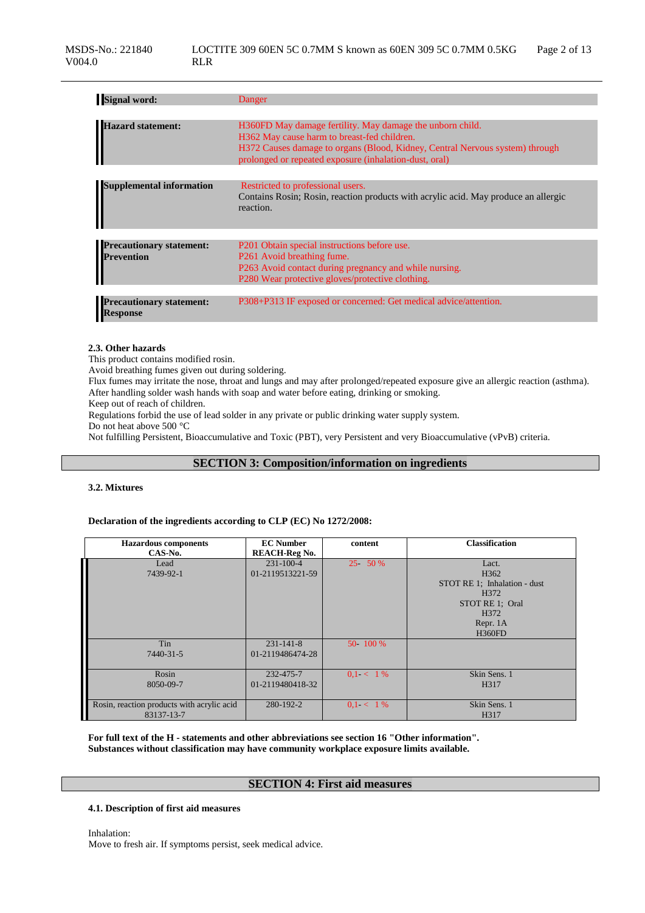| <b>Signal word:</b>                                  | Danger                                                                                                                                                                                                                                             |
|------------------------------------------------------|----------------------------------------------------------------------------------------------------------------------------------------------------------------------------------------------------------------------------------------------------|
|                                                      |                                                                                                                                                                                                                                                    |
| <b>Hazard statement:</b>                             | H360FD May damage fertility. May damage the unborn child.<br>H362 May cause harm to breast-fed children.<br>H372 Causes damage to organs (Blood, Kidney, Central Nervous system) through<br>prolonged or repeated exposure (inhalation-dust, oral) |
|                                                      |                                                                                                                                                                                                                                                    |
| <b>Supplemental information</b>                      | Restricted to professional users.<br>Contains Rosin; Rosin, reaction products with acrylic acid. May produce an allergic<br>reaction.                                                                                                              |
|                                                      |                                                                                                                                                                                                                                                    |
| <b>Precautionary statement:</b><br><b>Prevention</b> | P201 Obtain special instructions before use.<br>P261 Avoid breathing fume.<br>P263 Avoid contact during pregnancy and while nursing.<br>P280 Wear protective gloves/protective clothing.                                                           |
|                                                      |                                                                                                                                                                                                                                                    |
| <b>Precautionary statement:</b><br><b>Response</b>   | P308+P313 IF exposed or concerned: Get medical advice/attention.                                                                                                                                                                                   |

#### **2.3. Other hazards**

This product contains modified rosin.

Avoid breathing fumes given out during soldering.

Flux fumes may irritate the nose, throat and lungs and may after prolonged/repeated exposure give an allergic reaction (asthma). After handling solder wash hands with soap and water before eating, drinking or smoking.

Keep out of reach of children.

Regulations forbid the use of lead solder in any private or public drinking water supply system.

Do not heat above 500 °C

Not fulfilling Persistent, Bioaccumulative and Toxic (PBT), very Persistent and very Bioaccumulative (vPvB) criteria.

# **SECTION 3: Composition/information on ingredients**

## **3.2. Mixtures**

## **Declaration of the ingredients according to CLP (EC) No 1272/2008:**

| <b>Hazardous</b> components<br>CAS-No.     | <b>EC</b> Number<br><b>REACH-Reg No.</b> | content     | <b>Classification</b>        |
|--------------------------------------------|------------------------------------------|-------------|------------------------------|
| Lead<br>7439-92-1                          | $231 - 100 - 4$<br>01-2119513221-59      | $25 - 50%$  | Lact.<br>H <sub>362</sub>    |
|                                            |                                          |             | STOT RE 1: Inhalation - dust |
|                                            |                                          |             | H372<br>STOT RE 1: Oral      |
|                                            |                                          |             | H372                         |
|                                            |                                          |             | Repr. 1A<br><b>H360FD</b>    |
| Tin                                        | $231 - 141 - 8$                          | 50 - 100 %  |                              |
| 7440-31-5                                  | 01-2119486474-28                         |             |                              |
| Rosin                                      | 232-475-7                                | $0.1 < 1\%$ | Skin Sens. 1                 |
| 8050-09-7                                  | 01-2119480418-32                         |             | H317                         |
| Rosin, reaction products with acrylic acid | 280-192-2                                | $0.1 < 1\%$ | Skin Sens. 1                 |
| 83137-13-7                                 |                                          |             | H <sub>3</sub> 17            |

**For full text of the H - statements and other abbreviations see section 16 "Other information". Substances without classification may have community workplace exposure limits available.**

## **SECTION 4: First aid measures**

#### **4.1. Description of first aid measures**

Inhalation: Move to fresh air. If symptoms persist, seek medical advice.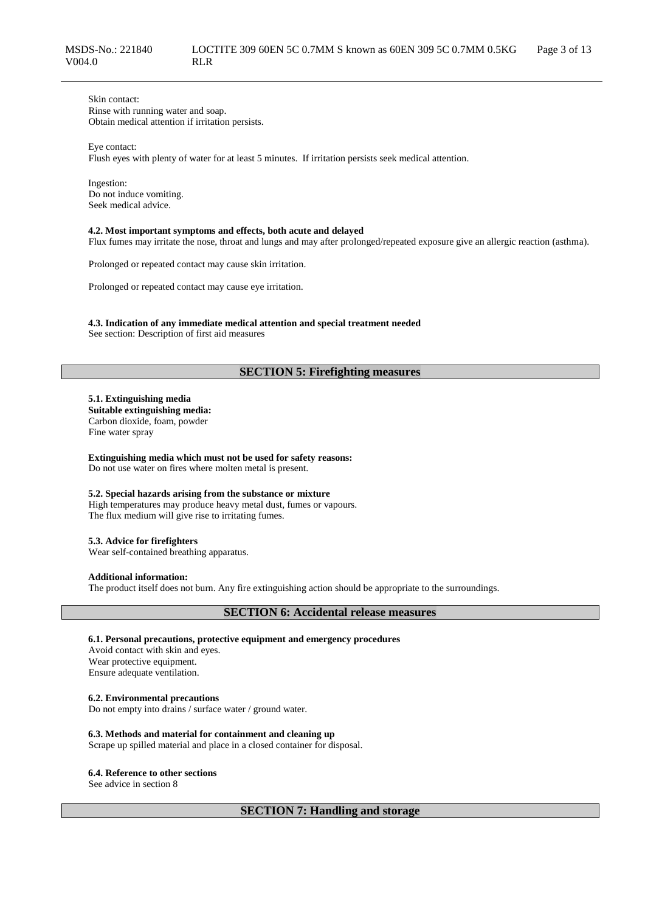Skin contact: Rinse with running water and soap. Obtain medical attention if irritation persists.

Eye contact: Flush eyes with plenty of water for at least 5 minutes. If irritation persists seek medical attention.

Ingestion: Do not induce vomiting. Seek medical advice.

#### **4.2. Most important symptoms and effects, both acute and delayed**

Flux fumes may irritate the nose, throat and lungs and may after prolonged/repeated exposure give an allergic reaction (asthma).

Prolonged or repeated contact may cause skin irritation.

Prolonged or repeated contact may cause eye irritation.

**4.3. Indication of any immediate medical attention and special treatment needed**

See section: Description of first aid measures

# **SECTION 5: Firefighting measures**

**5.1. Extinguishing media Suitable extinguishing media:** Carbon dioxide, foam, powder Fine water spray

**Extinguishing media which must not be used for safety reasons:** Do not use water on fires where molten metal is present.

## **5.2. Special hazards arising from the substance or mixture**

High temperatures may produce heavy metal dust, fumes or vapours. The flux medium will give rise to irritating fumes.

## **5.3. Advice for firefighters**

Wear self-contained breathing apparatus.

#### **Additional information:**

The product itself does not burn. Any fire extinguishing action should be appropriate to the surroundings.

## **SECTION 6: Accidental release measures**

## **6.1. Personal precautions, protective equipment and emergency procedures**

Avoid contact with skin and eyes. Wear protective equipment. Ensure adequate ventilation.

## **6.2. Environmental precautions**

Do not empty into drains / surface water / ground water.

## **6.3. Methods and material for containment and cleaning up**

Scrape up spilled material and place in a closed container for disposal.

#### **6.4. Reference to other sections**

See advice in section 8

**SECTION 7: Handling and storage**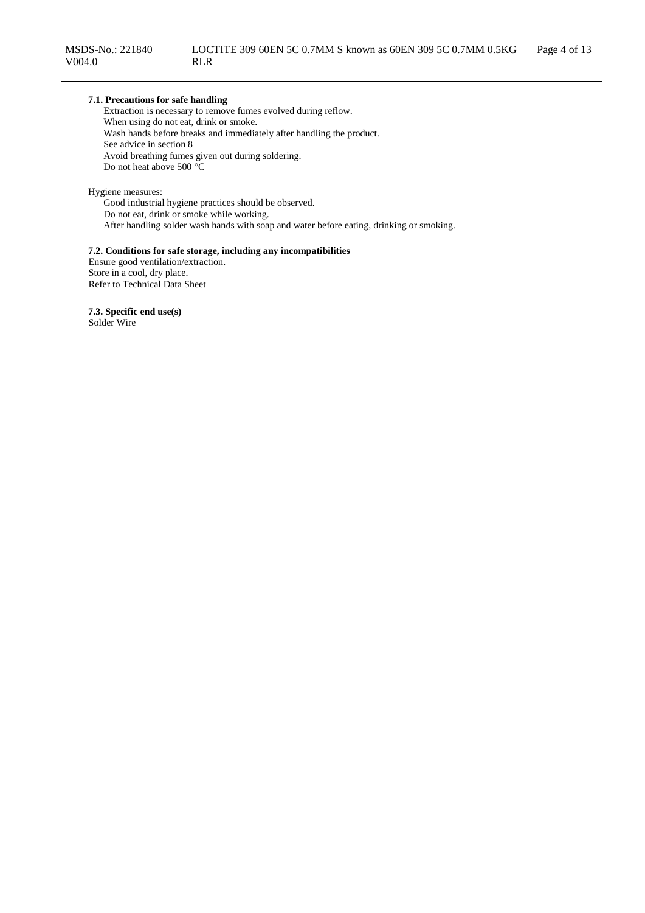## **7.1. Precautions for safe handling**

Extraction is necessary to remove fumes evolved during reflow. When using do not eat, drink or smoke. Wash hands before breaks and immediately after handling the product. See advice in section 8 Avoid breathing fumes given out during soldering. Do not heat above 500 °C

Hygiene measures:

Good industrial hygiene practices should be observed. Do not eat, drink or smoke while working. After handling solder wash hands with soap and water before eating, drinking or smoking.

## **7.2. Conditions for safe storage, including any incompatibilities**

Ensure good ventilation/extraction. Store in a cool, dry place. Refer to Technical Data Sheet

**7.3. Specific end use(s)** Solder Wire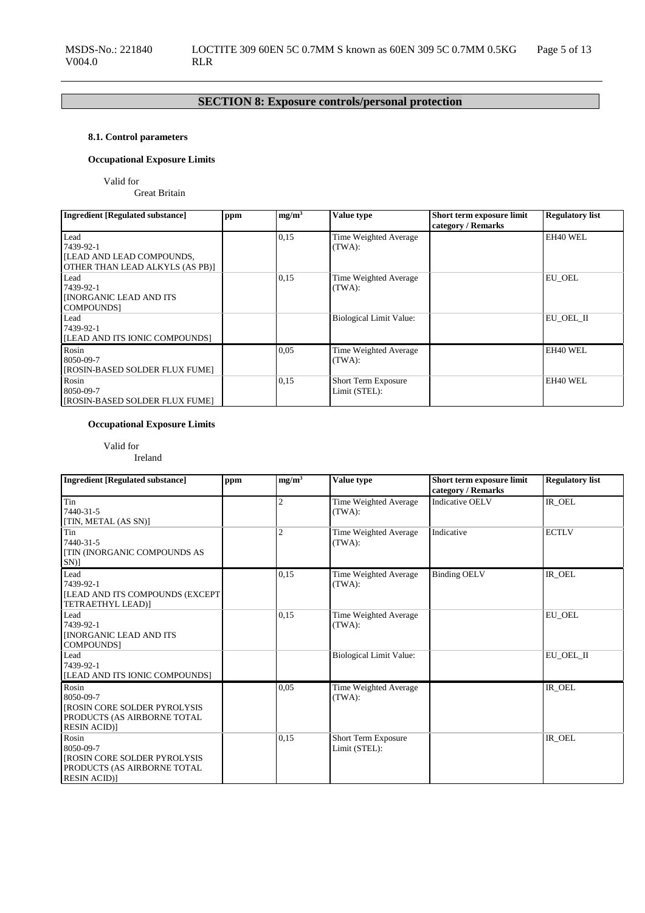# **SECTION 8: Exposure controls/personal protection**

# **8.1. Control parameters**

# **Occupational Exposure Limits**

Valid for

Great Britain

| <b>Ingredient [Regulated substance]</b>                                                  | ppm | mg/m <sup>3</sup> | <b>Value type</b>                    | Short term exposure limit<br>category / Remarks | <b>Regulatory list</b> |
|------------------------------------------------------------------------------------------|-----|-------------------|--------------------------------------|-------------------------------------------------|------------------------|
| Lead<br>7439-92-1<br><b>ILEAD AND LEAD COMPOUNDS,</b><br>OTHER THAN LEAD ALKYLS (AS PB)] |     | 0,15              | Time Weighted Average<br>(TWA):      |                                                 | EH40 WEL               |
| Lead<br>7439-92-1<br><b>INORGANIC LEAD AND ITS</b><br>COMPOUNDS]                         |     | 0,15              | Time Weighted Average<br>(TWA):      |                                                 | EU OEL                 |
| Lead<br>7439-92-1<br><b>ILEAD AND ITS IONIC COMPOUNDS!</b>                               |     |                   | <b>Biological Limit Value:</b>       |                                                 | EU OEL II              |
| Rosin<br>8050-09-7<br>[ROSIN-BASED SOLDER FLUX FUME]                                     |     | 0.05              | Time Weighted Average<br>(TWA):      |                                                 | EH40 WEL               |
| Rosin<br>8050-09-7<br>[ROSIN-BASED SOLDER FLUX FUME]                                     |     | 0,15              | Short Term Exposure<br>Limit (STEL): |                                                 | EH40 WEL               |

# **Occupational Exposure Limits**

Valid for

Ireland

| <b>Ingredient [Regulated substance]</b>                                                                        | ppm | mg/m <sup>3</sup> | <b>Value type</b>                    | Short term exposure limit<br>category / Remarks | <b>Regulatory list</b> |
|----------------------------------------------------------------------------------------------------------------|-----|-------------------|--------------------------------------|-------------------------------------------------|------------------------|
| Tin<br>7440-31-5<br>[TIN, METAL (AS SN)]                                                                       |     | 2                 | Time Weighted Average<br>(TWA):      | <b>Indicative OELV</b>                          | IR_OEL                 |
| Tin<br>7440-31-5<br><b>[TIN (INORGANIC COMPOUNDS AS</b><br>$SN$ ]                                              |     | $\overline{2}$    | Time Weighted Average<br>(TWA):      | Indicative                                      | <b>ECTLV</b>           |
| Lead<br>7439-92-1<br><b>[LEAD AND ITS COMPOUNDS (EXCEPT)</b><br>TETRAETHYL LEAD)]                              |     | 0,15              | Time Weighted Average<br>(TWA):      | <b>Binding OELV</b>                             | IR OEL                 |
| Lead<br>7439-92-1<br><b>INORGANIC LEAD AND ITS</b><br><b>COMPOUNDS</b>                                         |     | 0.15              | Time Weighted Average<br>(TWA):      |                                                 | EU_OEL                 |
| Lead<br>7439-92-1<br>[LEAD AND ITS IONIC COMPOUNDS]                                                            |     |                   | <b>Biological Limit Value:</b>       |                                                 | EU_OEL_II              |
| Rosin<br>8050-09-7<br>[ROSIN CORE SOLDER PYROLYSIS<br>PRODUCTS (AS AIRBORNE TOTAL<br><b>RESIN ACID)</b>        |     | 0,05              | Time Weighted Average<br>(TWA):      |                                                 | $IR$ <sup>OEL</sup>    |
| Rosin<br>8050-09-7<br><b>IROSIN CORE SOLDER PYROLYSIS</b><br>PRODUCTS (AS AIRBORNE TOTAL<br><b>RESIN ACID)</b> |     | 0,15              | Short Term Exposure<br>Limit (STEL): |                                                 | IR_OEL                 |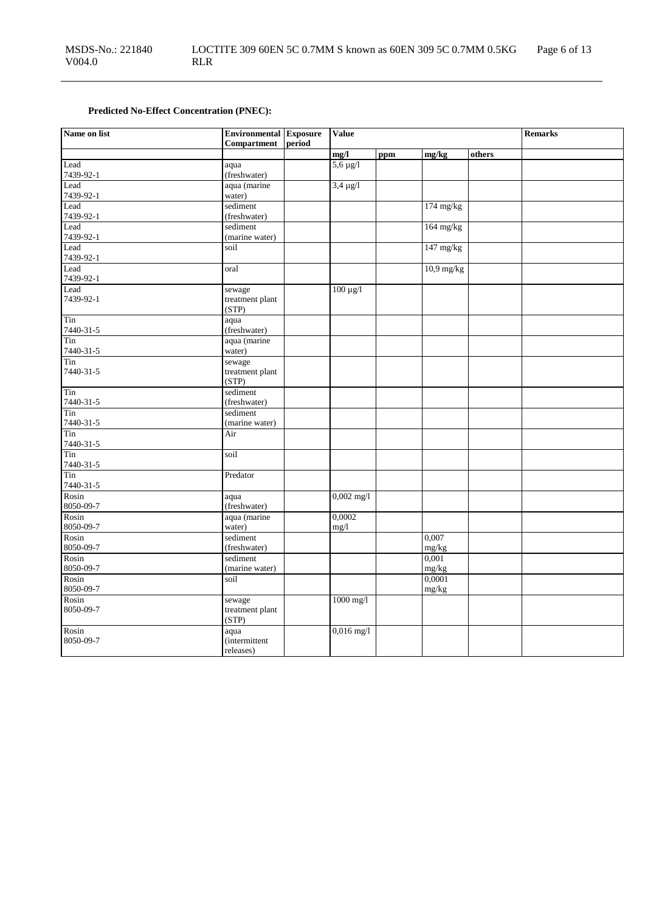# **Predicted No-Effect Concentration (PNEC):**

| Name on list       | <b>Environmental Exposure</b><br>Compartment | period | <b>Value</b>  |     |                                   |        | <b>Remarks</b> |
|--------------------|----------------------------------------------|--------|---------------|-----|-----------------------------------|--------|----------------|
|                    |                                              |        | mg/l          | ppm | mg/kg                             | others |                |
| Lead               | aqua                                         |        | $5,6 \mu g/l$ |     |                                   |        |                |
| 7439-92-1          | (freshwater)                                 |        |               |     |                                   |        |                |
| Lead               | aqua (marine                                 |        | $3,4 \mu g/l$ |     |                                   |        |                |
| 7439-92-1          | water)                                       |        |               |     |                                   |        |                |
| Lead               | sediment                                     |        |               |     | $174$ mg/kg                       |        |                |
| 7439-92-1<br>Lead  | (freshwater)<br>sediment                     |        |               |     | $164$ mg/kg                       |        |                |
| 7439-92-1          | (marine water)                               |        |               |     |                                   |        |                |
| Lead               | soil                                         |        |               |     | $147 \frac{\text{mg}}{\text{kg}}$ |        |                |
| 7439-92-1          |                                              |        |               |     |                                   |        |                |
| Lead               | oral                                         |        |               |     | $10.9$ mg/kg                      |        |                |
| 7439-92-1          |                                              |        |               |     |                                   |        |                |
| Lead               | sewage                                       |        | $100 \mu g/l$ |     |                                   |        |                |
| 7439-92-1          | treatment plant                              |        |               |     |                                   |        |                |
| Tin                | (STP)                                        |        |               |     |                                   |        |                |
| 7440-31-5          | aqua<br>(freshwater)                         |        |               |     |                                   |        |                |
| Tin                | aqua (marine                                 |        |               |     |                                   |        |                |
| 7440-31-5          | water)                                       |        |               |     |                                   |        |                |
| Tin                | sewage                                       |        |               |     |                                   |        |                |
| 7440-31-5          | treatment plant                              |        |               |     |                                   |        |                |
|                    | (STP)                                        |        |               |     |                                   |        |                |
| Tin                | sediment                                     |        |               |     |                                   |        |                |
| 7440-31-5          | (freshwater)                                 |        |               |     |                                   |        |                |
| Tin<br>7440-31-5   | sediment<br>(marine water)                   |        |               |     |                                   |        |                |
| Tin                | Air                                          |        |               |     |                                   |        |                |
| 7440-31-5          |                                              |        |               |     |                                   |        |                |
| Tin                | soil                                         |        |               |     |                                   |        |                |
| 7440-31-5          |                                              |        |               |     |                                   |        |                |
| Tin                | Predator                                     |        |               |     |                                   |        |                |
| 7440-31-5          |                                              |        |               |     |                                   |        |                |
| Rosin              | aqua                                         |        | $0,002$ mg/l  |     |                                   |        |                |
| 8050-09-7<br>Rosin | (freshwater)<br>aqua (marine                 |        | 0,0002        |     |                                   |        |                |
| 8050-09-7          | water)                                       |        | mg/1          |     |                                   |        |                |
| Rosin              | sediment                                     |        |               |     | 0,007                             |        |                |
| 8050-09-7          | (freshwater)                                 |        |               |     | mg/kg                             |        |                |
| Rosin              | sediment                                     |        |               |     | 0,001                             |        |                |
| 8050-09-7          | (marine water)                               |        |               |     | mg/kg                             |        |                |
| Rosin              | soil                                         |        |               |     | 0,0001                            |        |                |
| 8050-09-7          |                                              |        |               |     | mg/kg                             |        |                |
| Rosin              | sewage                                       |        | $1000$ mg/l   |     |                                   |        |                |
| 8050-09-7          | treatment plant<br>(STP)                     |        |               |     |                                   |        |                |
| Rosin              | aqua                                         |        | $0,016$ mg/l  |     |                                   |        |                |
| 8050-09-7          | <i>(intermittent)</i>                        |        |               |     |                                   |        |                |
|                    | releases)                                    |        |               |     |                                   |        |                |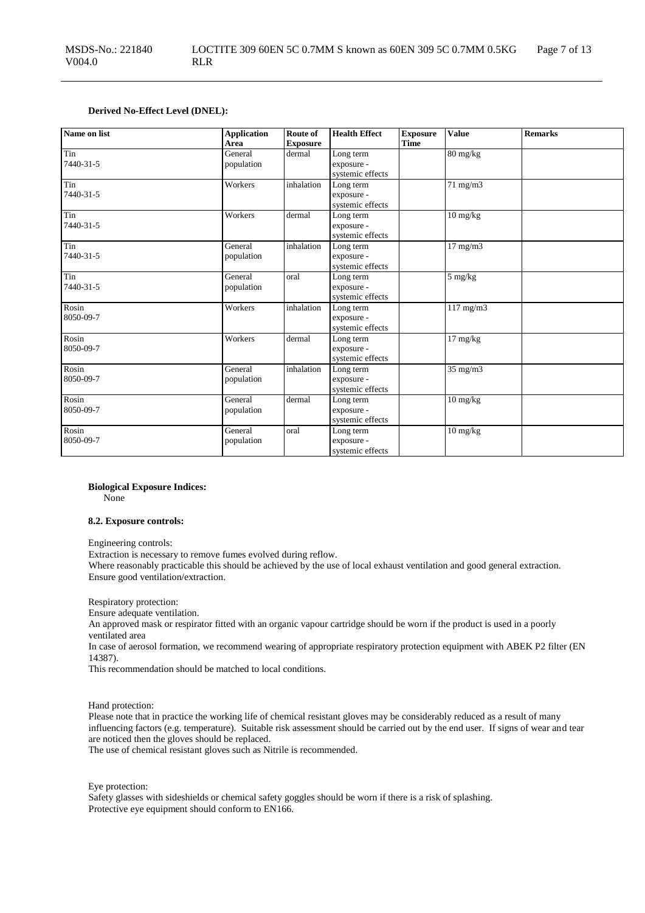## **Derived No-Effect Level (DNEL):**

| Name on list       | <b>Application</b><br>Area | Route of<br><b>Exposure</b> | <b>Health Effect</b>                        | <b>Exposure</b><br><b>Time</b> | <b>Value</b>                     | <b>Remarks</b> |
|--------------------|----------------------------|-----------------------------|---------------------------------------------|--------------------------------|----------------------------------|----------------|
| Tin<br>7440-31-5   | General<br>population      | dermal                      | Long term<br>exposure -<br>systemic effects |                                | 80 mg/kg                         |                |
| Tin<br>7440-31-5   | Workers                    | inhalation                  | Long term<br>exposure -<br>systemic effects |                                | 71 mg/m3                         |                |
| Tin<br>7440-31-5   | Workers                    | dermal                      | Long term<br>exposure -<br>systemic effects |                                | $10 \frac{\text{mg}}{\text{kg}}$ |                |
| Tin<br>7440-31-5   | General<br>population      | inhalation                  | Long term<br>exposure -<br>systemic effects |                                | $17 \text{ mg/m}$                |                |
| Tin<br>7440-31-5   | General<br>population      | oral                        | Long term<br>exposure -<br>systemic effects |                                | $5 \ \mathrm{mg/kg}$             |                |
| Rosin<br>8050-09-7 | Workers                    | inhalation                  | Long term<br>exposure -<br>systemic effects |                                | $117$ mg/m $3$                   |                |
| Rosin<br>8050-09-7 | Workers                    | dermal                      | Long term<br>exposure -<br>systemic effects |                                | $17 \text{ mg/kg}$               |                |
| Rosin<br>8050-09-7 | General<br>population      | inhalation                  | Long term<br>exposure -<br>systemic effects |                                | $35$ mg/m $3$                    |                |
| Rosin<br>8050-09-7 | General<br>population      | dermal                      | Long term<br>exposure -<br>systemic effects |                                | $10 \text{ mg/kg}$               |                |
| Rosin<br>8050-09-7 | General<br>population      | oral                        | Long term<br>exposure -<br>systemic effects |                                | $10 \text{ mg/kg}$               |                |

**Biological Exposure Indices:**

None

#### **8.2. Exposure controls:**

Engineering controls:

Extraction is necessary to remove fumes evolved during reflow.

Where reasonably practicable this should be achieved by the use of local exhaust ventilation and good general extraction. Ensure good ventilation/extraction.

Respiratory protection:

Ensure adequate ventilation.

An approved mask or respirator fitted with an organic vapour cartridge should be worn if the product is used in a poorly ventilated area

In case of aerosol formation, we recommend wearing of appropriate respiratory protection equipment with ABEK P2 filter (EN 14387).

This recommendation should be matched to local conditions.

Hand protection:

Please note that in practice the working life of chemical resistant gloves may be considerably reduced as a result of many influencing factors (e.g. temperature). Suitable risk assessment should be carried out by the end user. If signs of wear and tear are noticed then the gloves should be replaced.

The use of chemical resistant gloves such as Nitrile is recommended.

Eye protection:

Safety glasses with sideshields or chemical safety goggles should be worn if there is a risk of splashing. Protective eye equipment should conform to EN166.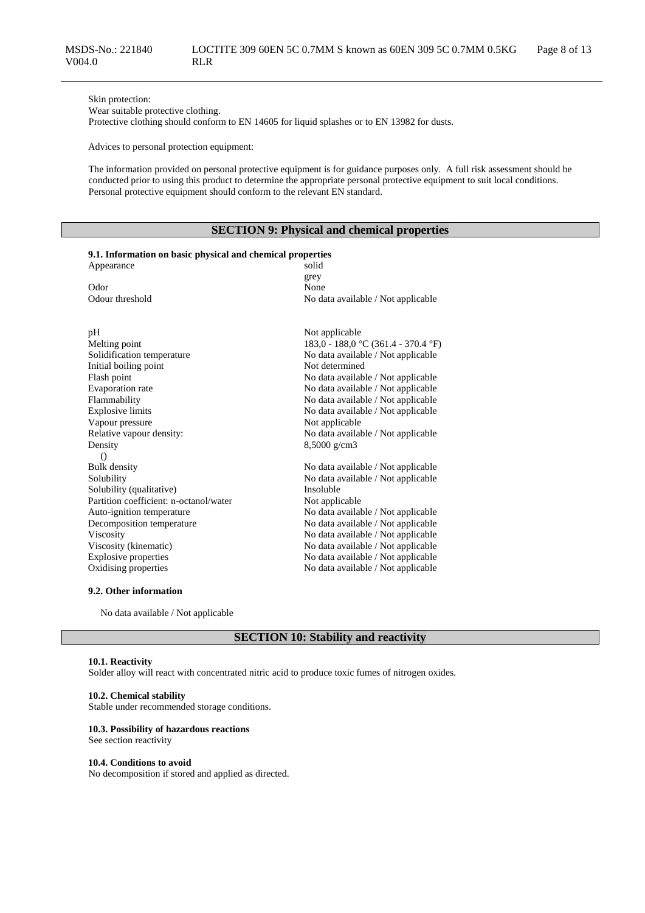Skin protection:

Wear suitable protective clothing.

Protective clothing should conform to EN 14605 for liquid splashes or to EN 13982 for dusts.

Advices to personal protection equipment:

The information provided on personal protective equipment is for guidance purposes only. A full risk assessment should be conducted prior to using this product to determine the appropriate personal protective equipment to suit local conditions. Personal protective equipment should conform to the relevant EN standard.

## **SECTION 9: Physical and chemical properties**

|  | 9.1. Information on basic physical and chemical properties |  |  |  |  |  |  |
|--|------------------------------------------------------------|--|--|--|--|--|--|
|--|------------------------------------------------------------|--|--|--|--|--|--|

| Appearance                             | solid                               |
|----------------------------------------|-------------------------------------|
|                                        | grey                                |
| Odor                                   | None                                |
| Odour threshold                        | No data available / Not applicable  |
|                                        |                                     |
|                                        |                                     |
| pH                                     | Not applicable                      |
| Melting point                          | 183,0 - 188,0 °C (361.4 - 370.4 °F) |
| Solidification temperature             | No data available / Not applicable  |
| Initial boiling point                  | Not determined                      |
| Flash point                            | No data available / Not applicable  |
| Evaporation rate                       | No data available / Not applicable  |
| Flammability                           | No data available / Not applicable  |
| <b>Explosive limits</b>                | No data available / Not applicable  |
| Vapour pressure                        | Not applicable                      |
| Relative vapour density:               | No data available / Not applicable  |
| Density                                | $8,5000 \text{ g/cm}$ 3             |
| $\bigcirc$                             |                                     |
| Bulk density                           | No data available / Not applicable  |
| Solubility                             | No data available / Not applicable  |
| Solubility (qualitative)               | Insoluble                           |
| Partition coefficient: n-octanol/water | Not applicable                      |
| Auto-ignition temperature              | No data available / Not applicable  |
| Decomposition temperature              | No data available / Not applicable  |
| Viscosity                              | No data available / Not applicable  |
| Viscosity (kinematic)                  | No data available / Not applicable  |
| <b>Explosive properties</b>            | No data available / Not applicable  |
| Oxidising properties                   | No data available / Not applicable  |
|                                        |                                     |

## **9.2. Other information**

No data available / Not applicable

## **SECTION 10: Stability and reactivity**

#### **10.1. Reactivity**

Solder alloy will react with concentrated nitric acid to produce toxic fumes of nitrogen oxides.

#### **10.2. Chemical stability**

Stable under recommended storage conditions.

#### **10.3. Possibility of hazardous reactions**

See section reactivity

#### **10.4. Conditions to avoid**

No decomposition if stored and applied as directed.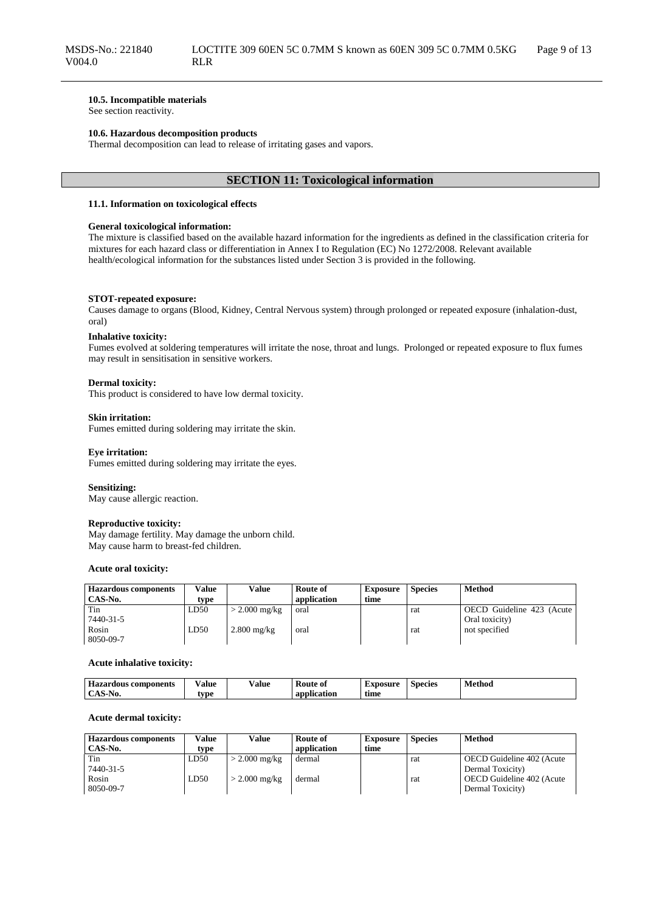#### **10.5. Incompatible materials**

See section reactivity.

#### **10.6. Hazardous decomposition products**

Thermal decomposition can lead to release of irritating gases and vapors.

## **SECTION 11: Toxicological information**

#### **11.1. Information on toxicological effects**

#### **General toxicological information:**

The mixture is classified based on the available hazard information for the ingredients as defined in the classification criteria for mixtures for each hazard class or differentiation in Annex I to Regulation (EC) No 1272/2008. Relevant available health/ecological information for the substances listed under Section 3 is provided in the following.

#### **STOT-repeated exposure:**

Causes damage to organs (Blood, Kidney, Central Nervous system) through prolonged or repeated exposure (inhalation-dust, oral)

#### **Inhalative toxicity:**

Fumes evolved at soldering temperatures will irritate the nose, throat and lungs. Prolonged or repeated exposure to flux fumes may result in sensitisation in sensitive workers.

#### **Dermal toxicity:**

This product is considered to have low dermal toxicity.

#### **Skin irritation:**

Fumes emitted during soldering may irritate the skin.

## **Eye irritation:**

Fumes emitted during soldering may irritate the eyes.

#### **Sensitizing:**

May cause allergic reaction.

#### **Reproductive toxicity:**

May damage fertility. May damage the unborn child. May cause harm to breast-fed children.

#### **Acute oral toxicity:**

| <b>Hazardous components</b> | Value | Value           | Route of    | <b>Exposure</b> | <b>Species</b> | <b>Method</b>             |
|-----------------------------|-------|-----------------|-------------|-----------------|----------------|---------------------------|
| CAS-No.                     | type  |                 | application | time            |                |                           |
| Tin                         | LD50  | $>$ 2.000 mg/kg | oral        |                 | rat            | OECD Guideline 423 (Acute |
| 7440-31-5                   |       |                 |             |                 |                | Oral toxicity)            |
| Rosin                       | LD50  | $2.800$ mg/kg   | oral        |                 | rat            | not specified             |
| 8050-09-7                   |       |                 |             |                 |                |                           |

#### **Acute inhalative toxicity:**

| Hazard<br>: components<br>rdous<br>-1azar - | ⁄ alue | ⁄ alue | <b>Route of</b>    | Exposure | <b>Species</b> | Method<br>. |
|---------------------------------------------|--------|--------|--------------------|----------|----------------|-------------|
| $\Lambda$ C $\Gamma$<br>-NO.<br>-A0-        | vpe    |        | . .<br>application | time     |                |             |

#### **Acute dermal toxicity:**

| <b>Hazardous components</b> | Value | Value                   | <b>Route of</b> | <b>Exposure</b> | <b>Species</b> | <b>Method</b>             |
|-----------------------------|-------|-------------------------|-----------------|-----------------|----------------|---------------------------|
| CAS-No.                     | tvpe  |                         | application     | time            |                |                           |
| Tin                         | LD50  | $>$ 2.000 mg/kg         | dermal          |                 | rat            | OECD Guideline 402 (Acute |
| 7440-31-5                   |       |                         |                 |                 |                | Dermal Toxicity)          |
| Rosin                       | LD50  | $> 2.000 \text{ mg/kg}$ | dermal          |                 | rat            | OECD Guideline 402 (Acute |
| 8050-09-7                   |       |                         |                 |                 |                | Dermal Toxicity)          |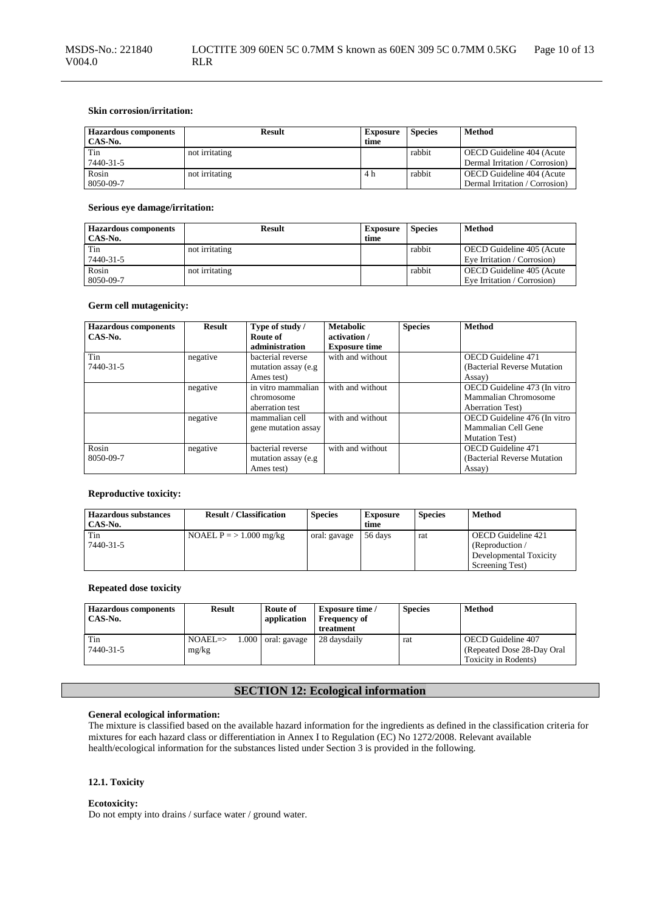## **Skin corrosion/irritation:**

| <b>Hazardous components</b><br>CAS-No. | <b>Result</b>  | <b>Exposure</b><br>time | <b>Species</b> | Method                                                      |
|----------------------------------------|----------------|-------------------------|----------------|-------------------------------------------------------------|
| Tin<br>7440-31-5                       | not irritating |                         | rabbit         | OECD Guideline 404 (Acute<br>Dermal Irritation / Corrosion) |
| Rosin<br>8050-09-7                     | not irritating | 4 h                     | rabbit         | OECD Guideline 404 (Acute<br>Dermal Irritation / Corrosion) |

#### **Serious eye damage/irritation:**

| <b>Hazardous components</b><br>CAS-No. | <b>Result</b>  | <b>Exposure</b><br>time | <b>Species</b> | Method                                                   |
|----------------------------------------|----------------|-------------------------|----------------|----------------------------------------------------------|
| Tin<br>7440-31-5                       | not irritating |                         | rabbit         | OECD Guideline 405 (Acute<br>Eye Irritation / Corrosion) |
| Rosin<br>8050-09-7                     | not irritating |                         | rabbit         | OECD Guideline 405 (Acute<br>Eve Irritation / Corrosion) |

## **Germ cell mutagenicity:**

| <b>Hazardous components</b> | <b>Result</b> | Type of study /      | <b>Metabolic</b>     | <b>Species</b> | <b>Method</b>                |
|-----------------------------|---------------|----------------------|----------------------|----------------|------------------------------|
| CAS-No.                     |               | Route of             | activation /         |                |                              |
|                             |               | administration       | <b>Exposure time</b> |                |                              |
| Tin                         | negative      | bacterial reverse    | with and without     |                | <b>OECD</b> Guideline 471    |
| 7440-31-5                   |               | mutation assay (e.g. |                      |                | (Bacterial Reverse Mutation) |
|                             |               | Ames test)           |                      |                | Assay)                       |
|                             | negative      | in vitro mammalian   | with and without     |                | OECD Guideline 473 (In vitro |
|                             |               | chromosome           |                      |                | Mammalian Chromosome         |
|                             |               | aberration test      |                      |                | <b>Aberration Test</b> )     |
|                             | negative      | mammalian cell       | with and without     |                | OECD Guideline 476 (In vitro |
|                             |               | gene mutation assay  |                      |                | Mammalian Cell Gene          |
|                             |               |                      |                      |                | <b>Mutation Test</b> )       |
| Rosin                       | negative      | bacterial reverse    | with and without     |                | OECD Guideline 471           |
| 8050-09-7                   |               | mutation assay (e.g. |                      |                | (Bacterial Reverse Mutation) |
|                             |               | Ames test)           |                      |                | Assay)                       |

## **Reproductive toxicity:**

| <b>Hazardous substances</b><br>CAS-No. | <b>Result / Classification</b> | <b>Species</b> | <b>Exposure</b><br>time | <b>Species</b> | Method                                                                             |
|----------------------------------------|--------------------------------|----------------|-------------------------|----------------|------------------------------------------------------------------------------------|
| Tin<br>$7440 - 31 - 5$                 | NOAEL $P = > 1.000$ mg/kg      | oral: gavage   | 56 days                 | rat            | OECD Guideline 421<br>(Reproduction /<br>Developmental Toxicity<br>Screening Test) |

## **Repeated dose toxicity**

| <b>Hazardous components</b><br>CAS-No. | Result                                | Route of<br>application | <b>Exposure time</b> /<br><b>Frequency of</b><br>treatment | <b>Species</b> | Method                                                                    |
|----------------------------------------|---------------------------------------|-------------------------|------------------------------------------------------------|----------------|---------------------------------------------------------------------------|
| Tin<br>7440-31-5                       | 1.000<br>$NOAEL \Rightarrow$<br>mg/kg | oral: gavage            | 28 davsdaily                                               | rat            | OECD Guideline 407<br>(Repeated Dose 28-Day Oral)<br>Toxicity in Rodents) |

# **SECTION 12: Ecological information**

## **General ecological information:**

The mixture is classified based on the available hazard information for the ingredients as defined in the classification criteria for mixtures for each hazard class or differentiation in Annex I to Regulation (EC) No 1272/2008. Relevant available health/ecological information for the substances listed under Section 3 is provided in the following.

#### **12.1. Toxicity**

#### **Ecotoxicity:**

Do not empty into drains / surface water / ground water.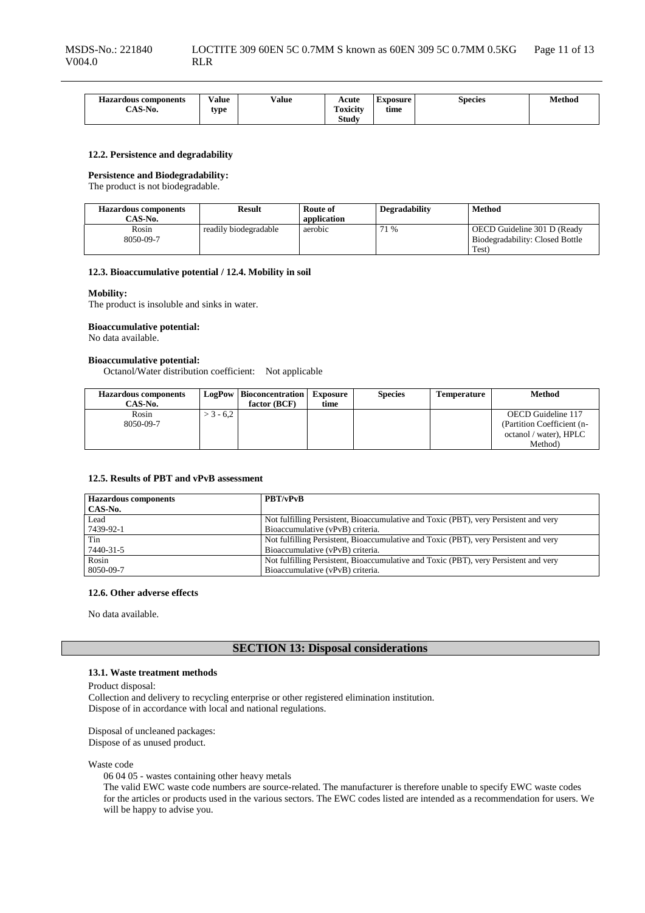| <b>Hazardous components</b>              | Value | Value | Acute                      | <b>Exposure</b> | Species | Method |
|------------------------------------------|-------|-------|----------------------------|-----------------|---------|--------|
|                                          |       |       |                            |                 |         |        |
| $C$ $\uparrow$ $C$ $\uparrow$ $\uparrow$ | tvpe  |       | $\ddotsc$<br>m<br>Toxicity | time            |         |        |
| CAS-N0.                                  |       |       |                            |                 |         |        |
|                                          |       |       | <b>Study</b>               |                 |         |        |
|                                          |       |       |                            |                 |         |        |

#### **12.2. Persistence and degradability**

#### **Persistence and Biodegradability:**

The product is not biodegradable.

| <b>Hazardous components</b> | <b>Result</b>         | Route of    | <b>Degradability</b> | <b>Method</b>                                                  |
|-----------------------------|-----------------------|-------------|----------------------|----------------------------------------------------------------|
| CAS-No.                     |                       | application |                      |                                                                |
| Rosin<br>8050-09-7          | readily biodegradable | aerobic     | 71 %                 | OECD Guideline 301 D (Ready<br>Biodegradability: Closed Bottle |
|                             |                       |             |                      | Test)                                                          |

#### **12.3. Bioaccumulative potential / 12.4. Mobility in soil**

#### **Mobility:**

The product is insoluble and sinks in water.

#### **Bioaccumulative potential:**

No data available.

# **Bioaccumulative potential:**

Octanol/Water distribution coefficient: Not applicable

| <b>Hazardous components</b> |            | <b>LogPow</b>   Bioconcentration | Exposure | <b>Species</b> | <b>Temperature</b> | Method                     |
|-----------------------------|------------|----------------------------------|----------|----------------|--------------------|----------------------------|
| CAS-No.                     |            | factor (BCF)                     | time     |                |                    |                            |
| Rosin                       | $-3 - 6.2$ |                                  |          |                |                    | OECD Guideline 117         |
| 8050-09-7                   |            |                                  |          |                |                    | (Partition Coefficient (n- |
|                             |            |                                  |          |                |                    | octanol / water), HPLC     |
|                             |            |                                  |          |                |                    | Method)                    |

#### **12.5. Results of PBT and vPvB assessment**

| <b>Hazardous components</b> | <b>PBT/vPvB</b>                                                                      |
|-----------------------------|--------------------------------------------------------------------------------------|
| CAS-No.                     |                                                                                      |
| Lead                        | Not fulfilling Persistent, Bioaccumulative and Toxic (PBT), very Persistent and very |
| 7439-92-1                   | Bioaccumulative (vPvB) criteria.                                                     |
| Tin                         | Not fulfilling Persistent, Bioaccumulative and Toxic (PBT), very Persistent and very |
| 7440-31-5                   | Bioaccumulative (vPvB) criteria.                                                     |
| Rosin                       | Not fulfilling Persistent, Bioaccumulative and Toxic (PBT), very Persistent and very |
| 8050-09-7                   | Bioaccumulative (vPvB) criteria.                                                     |

#### **12.6. Other adverse effects**

No data available.

## **SECTION 13: Disposal considerations**

#### **13.1. Waste treatment methods**

Product disposal:

Collection and delivery to recycling enterprise or other registered elimination institution. Dispose of in accordance with local and national regulations.

Disposal of uncleaned packages: Dispose of as unused product.

Waste code

06 04 05 - wastes containing other heavy metals

The valid EWC waste code numbers are source-related. The manufacturer is therefore unable to specify EWC waste codes for the articles or products used in the various sectors. The EWC codes listed are intended as a recommendation for users. We will be happy to advise you.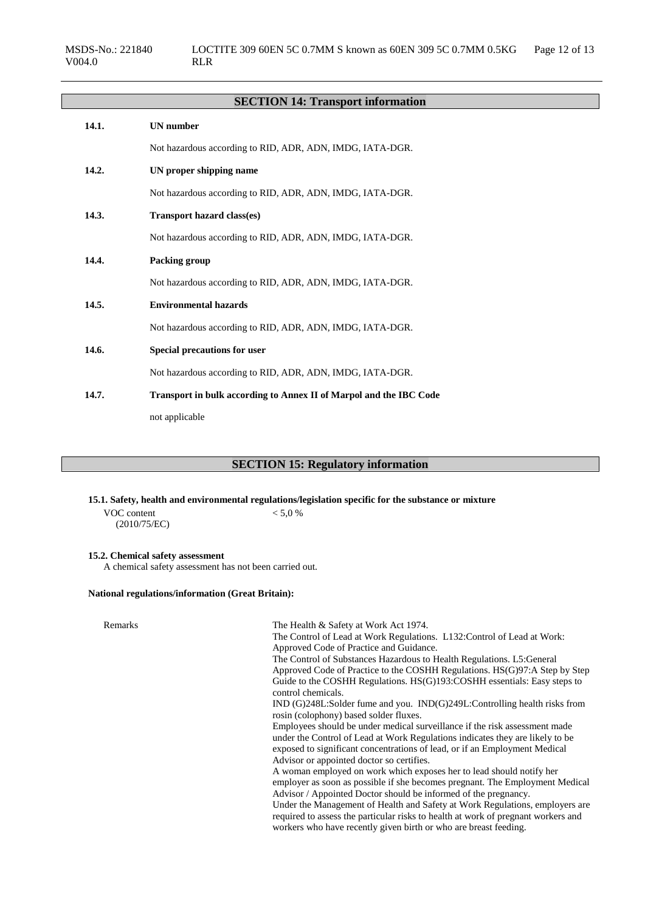# **SECTION 14: Transport information 14.1. UN number**

Not hazardous according to RID, ADR, ADN, IMDG, IATA-DGR. **14.2. UN proper shipping name** Not hazardous according to RID, ADR, ADN, IMDG, IATA-DGR. **14.3. Transport hazard class(es)** Not hazardous according to RID, ADR, ADN, IMDG, IATA-DGR. **14.4. Packing group** Not hazardous according to RID, ADR, ADN, IMDG, IATA-DGR. **14.5. Environmental hazards** Not hazardous according to RID, ADR, ADN, IMDG, IATA-DGR. **14.6. Special precautions for user** Not hazardous according to RID, ADR, ADN, IMDG, IATA-DGR. **14.7. Transport in bulk according to Annex II of Marpol and the IBC Code**

not applicable

## **SECTION 15: Regulatory information**

**15.1. Safety, health and environmental regulations/legislation specific for the substance or mixture**

VOC content (2010/75/EC)  $< 5,0 %$ 

# **15.2. Chemical safety assessment**

A chemical safety assessment has not been carried out.

#### **National regulations/information (Great Britain):**

| Remarks | The Health & Safety at Work Act 1974.                                                                                                                 |
|---------|-------------------------------------------------------------------------------------------------------------------------------------------------------|
|         | The Control of Lead at Work Regulations. L132: Control of Lead at Work:                                                                               |
|         | Approved Code of Practice and Guidance.                                                                                                               |
|         | The Control of Substances Hazardous to Health Regulations. L5: General                                                                                |
|         | Approved Code of Practice to the COSHH Regulations. HS(G)97:A Step by Step                                                                            |
|         | Guide to the COSHH Regulations. HS(G)193:COSHH essentials: Easy steps to                                                                              |
|         | control chemicals.                                                                                                                                    |
|         | IND (G)248L:Solder fume and you. IND(G)249L:Controlling health risks from                                                                             |
|         | rosin (colophony) based solder fluxes.                                                                                                                |
|         | Employees should be under medical surveillance if the risk assessment made                                                                            |
|         | under the Control of Lead at Work Regulations indicates they are likely to be                                                                         |
|         | exposed to significant concentrations of lead, or if an Employment Medical                                                                            |
|         | Advisor or appointed doctor so certifies.                                                                                                             |
|         | A woman employed on work which exposes her to lead should notify her                                                                                  |
|         | employer as soon as possible if she becomes pregnant. The Employment Medical                                                                          |
|         | Advisor / Appointed Doctor should be informed of the pregnancy.                                                                                       |
|         | Under the Management of Health and Safety at Work Regulations, employers are                                                                          |
|         | required to assess the particular risks to health at work of pregnant workers and<br>workers who have recently given birth or who are breast feeding. |
|         |                                                                                                                                                       |